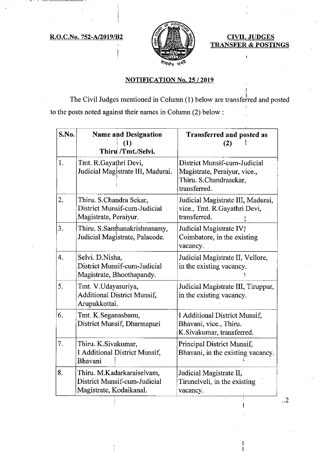R.O.C.No. 752-A/2019/B2  $\left(\frac{S}{B}\right)$   $\left(\frac{S}{B}\right)$  CIVIL JUDGES



TRANSFER & POSTINGS

I

## NOTIFICATION No. 25 / 2019

The Civil Judges mentioned in Column  $(1)$  below are transferred and posted to the posts noted against their names in Column (2) below:

| S.No.            | <b>Name and Designation</b><br>(1)<br>Thiru /Tmt./Selvi.                                                                                         | <b>Transferred and posted as</b><br>(2)                                                                |
|------------------|--------------------------------------------------------------------------------------------------------------------------------------------------|--------------------------------------------------------------------------------------------------------|
| 1.               | Tmt. R.Gayathri Devi,<br>Judicial Magistrate III, Madurai.                                                                                       | District Munsif-cum-Judicial<br>Magistrate, Peraiyur, vice.,<br>Thiru. S.Chandrasekar,<br>transferred. |
| $\overline{2}$ . | Thiru. S.Chandra Sekar,<br>District Munsif-cum-Judicial<br>Magistrate, Peraiyur.                                                                 | Judicial Magistrate III, Madurai,<br>vice., Tmt. R.Gayathri Devi,<br>transferred.                      |
| 3.               | Thiru. S.Santhanakrishnasamy,<br>Judicial Magistrate, Palacode.                                                                                  | Judicial Magistrate IV,<br>Coimbatore, in the existing<br>vacancy.                                     |
| 4.               | Selvi. D.Nisha,<br>District Munsif-cum-Judicial<br>Magistrate, Bhoothapandy.                                                                     | Judicial Magistrate II, Vellore,<br>in the existing vacancy.                                           |
| 5.               | Tmt. V.Udayasuriya,<br><b>Additional District Munsif,</b><br>Arupukkottai.                                                                       | Judicial Magistrate III, Tiruppur,<br>in the existing vacancy.                                         |
| 6.               | Tmt. K.Seganasbanu,<br>District Munsif, Dharmapuri                                                                                               | I Additional District Munsif,<br>Bhavani, vice., Thiru.<br>K.Sivakumar, transferred.                   |
| 7.               | Principal District Munsif,<br>Thiru. K.Sivakumar,<br><b>I Additional District Munsif,</b><br>Bhavani, in the existing vacancy.<br><b>Bhavani</b> |                                                                                                        |
| 8.               | Thiru. M.Kadarkaraiselvam,<br>District Munsif-cum-Judicial<br>Magistrate, Kodaikanal.                                                            | Judicial Magistrate II,<br>Tirunelveli, in the existing<br>vacancy.                                    |

..2